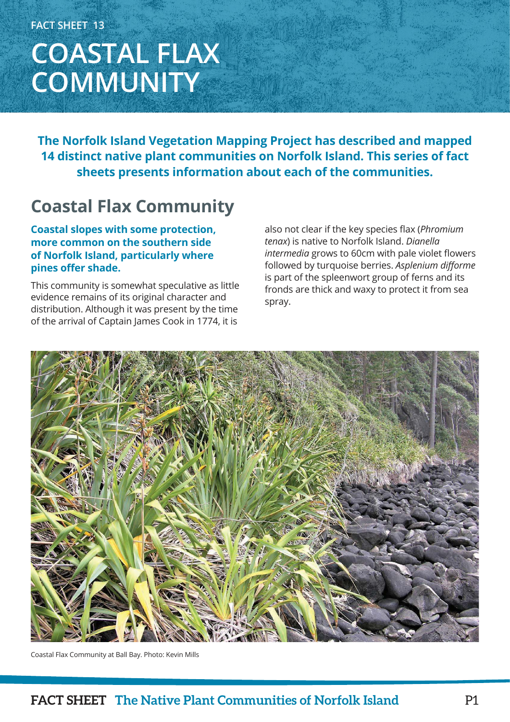# **COASTAL FLAX COMMUNITY**

**The Norfolk Island Vegetation Mapping Project has described and mapped 14 distinct native plant communities on Norfolk Island. This series of fact sheets presents information about each of the communities.**

### **Coastal Flax Community**

#### **Coastal slopes with some protection, more common on the southern side of Norfolk Island, particularly where pines offer shade.**

This community is somewhat speculative as little evidence remains of its original character and distribution. Although it was present by the time of the arrival of Captain James Cook in 1774, it is

also not clear if the key species flax (*Phromium tenax*) is native to Norfolk Island. *Dianella intermedia* grows to 60cm with pale violet flowers followed by turquoise berries. *Asplenium difforme* is part of the spleenwort group of ferns and its fronds are thick and waxy to protect it from sea spray.



Coastal Flax Community at Ball Bay. Photo: Kevin Mills